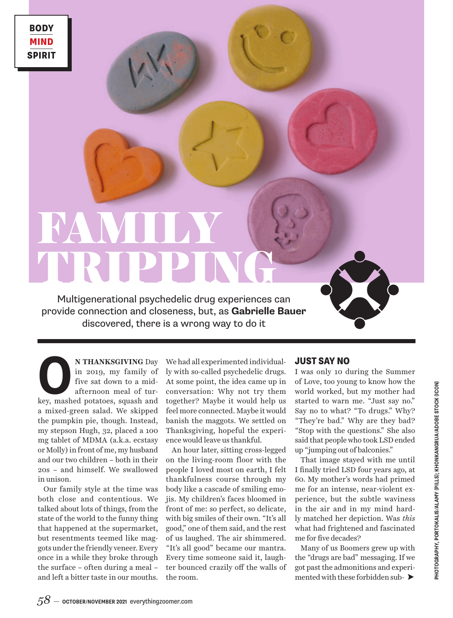# FAMILY TRIPPING

Multigenerational psychedelic drug experiences can provide connection and closeness, but, as **Gabrielle Bauer** discovered, there is a wrong way to do it

**O N THANKSGIVING** Day in 2019, my family of five sat down to a mid-<br>afternoon meal of turkey, mashed potatoes, squash and in 2019, my family of five sat down to a midafternoon meal of tura mixed-green salad. We skipped the pumpkin pie, though. Instead, my stepson Hugh, 32, placed a 100 mg tablet of MDMA (a.k.a. ecstasy or Molly) in front of me, my husband and our two children – both in their 20s – and himself. We swallowed in unison.

Our family style at the time was both close and contentious. We talked about lots of things, from the state of the world to the funny thing that happened at the supermarket, but resentments teemed like maggots under the friendly veneer. Every once in a while they broke through the surface – often during a meal – and left a bitter taste in our mouths.

We had all experimented individually with so-called psychedelic drugs. At some point, the idea came up in conversation: Why not try them together? Maybe it would help us feel more connected. Maybe it would banish the maggots. We settled on Thanksgiving, hopeful the experience would leave us thankful.

An hour later, sitting cross-legged on the living-room floor with the people I loved most on earth, I felt thankfulness course through my body like a cascade of smiling emojis. My children's faces bloomed in front of me: so perfect, so delicate, with big smiles of their own. "It's all good," one of them said, and the rest of us laughed. The air shimmered. "It's all good" became our mantra. Every time someone said it, laughter bounced crazily off the walls of the room.

#### JUST SAY NO

I was only 10 during the Summer of Love, too young to know how the world worked, but my mother had started to warn me. "Just say no." Say no to what? "To drugs." Why? "They're bad." Why are they bad? "Stop with the questions." She also said that people who took LSD ended up "jumping out of balconies."

That image stayed with me until I finally tried LSD four years ago, at 60. My mother's words had primed me for an intense, near-violent experience, but the subtle waviness in the air and in my mind hardly matched her depiction. Was *this* what had frightened and fascinated me for five decades?

Many of us Boomers grew up with the "drugs are bad" messaging. If we got past the admonitions and experimented with these forbidden sub- $\blacktriangleright$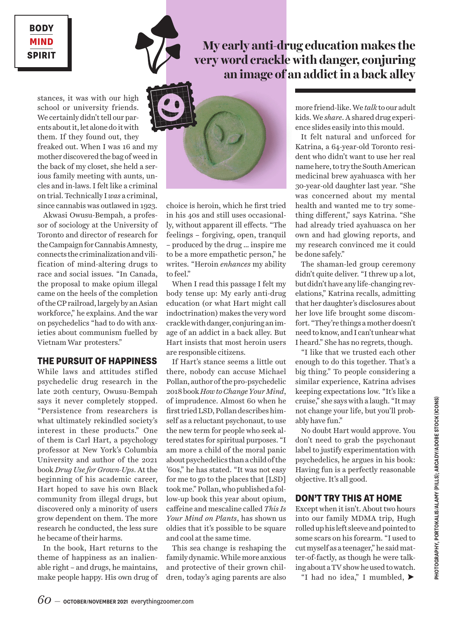BODY BODY MIND MIND SPIRIT SPIRIT

## **My early anti-drug education makes the very word crackle with danger, conjuring an image of an addict in a back alley**

stances, it was with our high school or university friends. We certainly didn't tell our parents about it, let alone do it with them. If they found out, they freaked out. When I was 16 and my mother discovered the bag of weed in the back of my closet, she held a serious family meeting with aunts, uncles and in-laws. I felt like a criminal on trial. Technically I *was* a criminal, since cannabis was outlawed in 1923.

Akwasi Owusu-Bempah, a professor of sociology at the University of Toronto and director of research for the Campaign for Cannabis Amnesty, connects the criminalization and vilification of mind-altering drugs to race and social issues. "In Canada, the proposal to make opium illegal came on the heels of the completion of the CP railroad, largely by an Asian workforce," he explains. And the war on psychedelics "had to do with anxieties about communism fuelled by Vietnam War protesters."

## THE PURSUIT OF HAPPINESS

While laws and attitudes stifled psychedelic drug research in the late 20th century, Owusu-Bempah says it never completely stopped. "Persistence from researchers is what ultimately rekindled society's interest in these products." One of them is Carl Hart, a psychology professor at New York's Columbia University and author of the 2021 book *Drug Use for Grown-Ups*. At the beginning of his academic career, Hart hoped to save his own Black community from illegal drugs, but discovered only a minority of users grow dependent on them. The more research he conducted, the less sure he became of their harms.

In the book, Hart returns to the theme of happiness as an inalienable right – and drugs, he maintains, make people happy. His own drug of



choice is heroin, which he first tried in his 40s and still uses occasionally, without apparent ill effects. "The feelings – forgiving, open, tranquil – produced by the drug … inspire me to be a more empathetic person," he writes. "Heroin *enhances* my ability to feel."

When I read this passage I felt my body tense up: My early anti-drug education (or what Hart might call indoctrination) makes the very word crackle with danger, conjuring an image of an addict in a back alley. But Hart insists that most heroin users are responsible citizens.

If Hart's stance seems a little out there, nobody can accuse Michael Pollan, author of the pro-psychedelic 2018 book *How to Change Your Mind*, of imprudence. Almost 60 when he first tried LSD, Pollan describes himself as a reluctant psychonaut, to use the new term for people who seek altered states for spiritual purposes. "I am more a child of the moral panic about psychedelics than a child of the '60s," he has stated. "It was not easy for me to go to the places that [LSD] took me." Pollan, who published a follow-up book this year about opium, caffeine and mescaline called *This Is Your Mind on Plants*, has shown us oldies that it's possible to be square and cool at the same time.

This sea change is reshaping the family dynamic. While more anxious and protective of their grown children, today's aging parents are also

more friend-like. We *talk* to our adult kids. We *share*. A shared drug experience slides easily into this mould.

It felt natural and unforced for Katrina, a 64-year-old Toronto resident who didn't want to use her real name here, to try the South American medicinal brew ayahuasca with her 30-year-old daughter last year. "She was concerned about my mental health and wanted me to try something different," says Katrina. "She had already tried ayahuasca on her own and had glowing reports, and my research convinced me it could be done safely."

The shaman-led group ceremony didn't quite deliver. "I threw up a lot, but didn't have any life-changing revelations," Katrina recalls, admitting that her daughter's disclosures about her love life brought some discomfort. "They're things a mother doesn't need to know, and I can't unhear what I heard." She has no regrets, though.

"I like that we trusted each other enough to do this together. That's a big thing." To people considering a similar experience, Katrina advises keeping expectations low. "It's like a cruise," she says with a laugh. "It may not change your life, but you'll probably have fun."

No doubt Hart would approve. You don't need to grab the psychonaut label to justify experimentation with psychedelics, he argues in his book: Having fun is a perfectly reasonable objective. It's all good.

## DON'T TRY THIS AT HOME

Except when it isn't. About two hours into our family MDMA trip, Hugh rolled up his left sleeve and pointed to some scars on his forearm. "I used to cut myself as a teenager," he said matter-of-factly, as though he were talking about a TV show he used to watch.